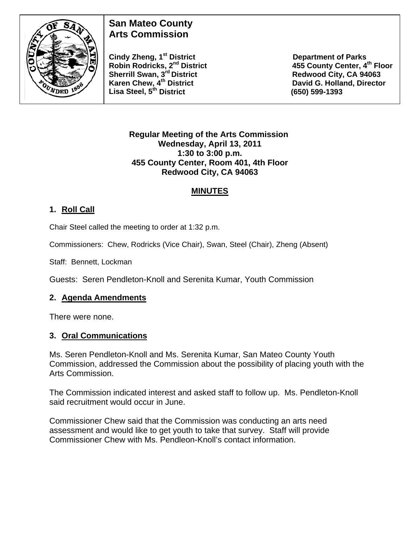

# **San Mateo County Arts Commission**

**Robin Rodricks, 2<sup>nd</sup> District Sherrill Swan, 3<sup>rd</sup> District <b>Redwood City, CA 94063** Karen Chew, 4<sup>th</sup> District **David G. Holland, Director Lisa Steel, 5th District (650) 599-1393** 

Cindy Zheng, 1<sup>st</sup> District **Cindy Zheng, 1st District** Department of Parks<br>Robin Rodricks, 2<sup>nd</sup> District **Results** 25 County Center, 4<sup>th</sup> Floor

#### **Regular Meeting of the Arts Commission Wednesday, April 13, 2011 1:30 to 3:00 p.m. 455 County Center, Room 401, 4th Floor Redwood City, CA 94063**

### **MINUTES**

## **1. Roll Call**

Chair Steel called the meeting to order at 1:32 p.m.

Commissioners: Chew, Rodricks (Vice Chair), Swan, Steel (Chair), Zheng (Absent)

Staff: Bennett, Lockman

Guests: Seren Pendleton-Knoll and Serenita Kumar, Youth Commission

#### **2. Agenda Amendments**

There were none.

#### **3. Oral Communications**

Ms. Seren Pendleton-Knoll and Ms. Serenita Kumar, San Mateo County Youth Commission, addressed the Commission about the possibility of placing youth with the Arts Commission.

The Commission indicated interest and asked staff to follow up. Ms. Pendleton-Knoll said recruitment would occur in June.

Commissioner Chew said that the Commission was conducting an arts need assessment and would like to get youth to take that survey. Staff will provide Commissioner Chew with Ms. Pendleon-Knoll's contact information.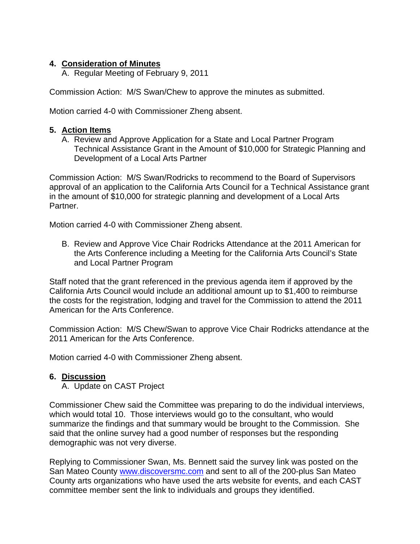#### **4. Consideration of Minutes**

A. Regular Meeting of February 9, 2011

Commission Action: M/S Swan/Chew to approve the minutes as submitted.

Motion carried 4-0 with Commissioner Zheng absent.

#### **5. Action Items**

A. Review and Approve Application for a State and Local Partner Program Technical Assistance Grant in the Amount of \$10,000 for Strategic Planning and Development of a Local Arts Partner

Commission Action: M/S Swan/Rodricks to recommend to the Board of Supervisors approval of an application to the California Arts Council for a Technical Assistance grant in the amount of \$10,000 for strategic planning and development of a Local Arts Partner.

Motion carried 4-0 with Commissioner Zheng absent.

B. Review and Approve Vice Chair Rodricks Attendance at the 2011 American for the Arts Conference including a Meeting for the California Arts Council's State and Local Partner Program

Staff noted that the grant referenced in the previous agenda item if approved by the California Arts Council would include an additional amount up to \$1,400 to reimburse the costs for the registration, lodging and travel for the Commission to attend the 2011 American for the Arts Conference.

Commission Action: M/S Chew/Swan to approve Vice Chair Rodricks attendance at the 2011 American for the Arts Conference.

Motion carried 4-0 with Commissioner Zheng absent.

#### **6. Discussion**

A. Update on CAST Project

Commissioner Chew said the Committee was preparing to do the individual interviews, which would total 10. Those interviews would go to the consultant, who would summarize the findings and that summary would be brought to the Commission. She said that the online survey had a good number of responses but the responding demographic was not very diverse.

Replying to Commissioner Swan, Ms. Bennett said the survey link was posted on the San Mateo County [www.discoversmc.com](http://www.discoversmc.com/) and sent to all of the 200-plus San Mateo County arts organizations who have used the arts website for events, and each CAST committee member sent the link to individuals and groups they identified.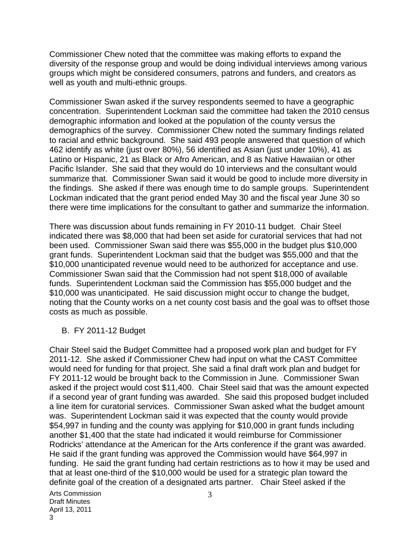Commissioner Chew noted that the committee was making efforts to expand the diversity of the response group and would be doing individual interviews among various groups which might be considered consumers, patrons and funders, and creators as well as youth and multi-ethnic groups.

Commissioner Swan asked if the survey respondents seemed to have a geographic concentration. Superintendent Lockman said the committee had taken the 2010 census demographic information and looked at the population of the county versus the demographics of the survey. Commissioner Chew noted the summary findings related to racial and ethnic background. She said 493 people answered that question of which 462 identify as white (just over 80%), 56 identified as Asian (just under 10%), 41 as Latino or Hispanic, 21 as Black or Afro American, and 8 as Native Hawaiian or other Pacific Islander. She said that they would do 10 interviews and the consultant would summarize that. Commissioner Swan said it would be good to include more diversity in the findings. She asked if there was enough time to do sample groups. Superintendent Lockman indicated that the grant period ended May 30 and the fiscal year June 30 so there were time implications for the consultant to gather and summarize the information.

There was discussion about funds remaining in FY 2010-11 budget. Chair Steel indicated there was \$8,000 that had been set aside for curatorial services that had not been used. Commissioner Swan said there was \$55,000 in the budget plus \$10,000 grant funds. Superintendent Lockman said that the budget was \$55,000 and that the \$10,000 unanticipated revenue would need to be authorized for acceptance and use. Commissioner Swan said that the Commission had not spent \$18,000 of available funds. Superintendent Lockman said the Commission has \$55,000 budget and the \$10,000 was unanticipated. He said discussion might occur to change the budget, noting that the County works on a net county cost basis and the goal was to offset those costs as much as possible.

B. FY 2011-12 Budget

Chair Steel said the Budget Committee had a proposed work plan and budget for FY 2011-12. She asked if Commissioner Chew had input on what the CAST Committee would need for funding for that project. She said a final draft work plan and budget for FY 2011-12 would be brought back to the Commission in June. Commissioner Swan asked if the project would cost \$11,400. Chair Steel said that was the amount expected if a second year of grant funding was awarded. She said this proposed budget included a line item for curatorial services. Commissioner Swan asked what the budget amount was. Superintendent Lockman said it was expected that the county would provide \$54,997 in funding and the county was applying for \$10,000 in grant funds including another \$1,400 that the state had indicated it would reimburse for Commissioner Rodricks' attendance at the American for the Arts conference if the grant was awarded. He said if the grant funding was approved the Commission would have \$64,997 in funding. He said the grant funding had certain restrictions as to how it may be used and that at least one-third of the \$10,000 would be used for a strategic plan toward the definite goal of the creation of a designated arts partner. Chair Steel asked if the